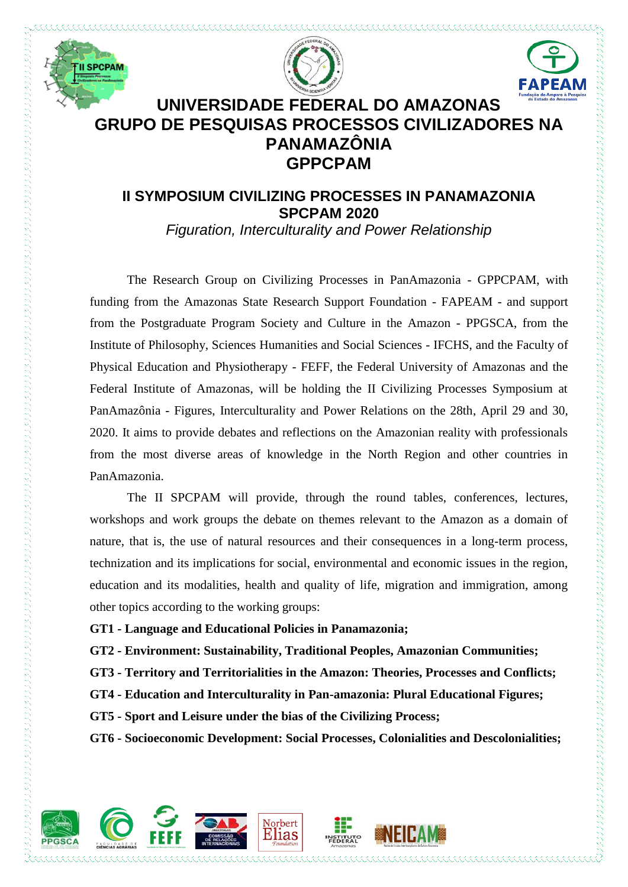





## **UNIVERSIDADE FEDERAL DO AMAZONAS GRUPO DE PESQUISAS PROCESSOS CIVILIZADORES NA PANAMAZÔNIA GPPCPAM**

## **II SYMPOSIUM CIVILIZING PROCESSES IN PANAMAZONIA SPCPAM 2020**

*Figuration, Interculturality and Power Relationship*

The Research Group on Civilizing Processes in PanAmazonia - GPPCPAM, with funding from the Amazonas State Research Support Foundation - FAPEAM - and support from the Postgraduate Program Society and Culture in the Amazon - PPGSCA, from the Institute of Philosophy, Sciences Humanities and Social Sciences - IFCHS, and the Faculty of Physical Education and Physiotherapy - FEFF, the Federal University of Amazonas and the Federal Institute of Amazonas, will be holding the II Civilizing Processes Symposium at PanAmazônia - Figures, Interculturality and Power Relations on the 28th, April 29 and 30, 2020. It aims to provide debates and reflections on the Amazonian reality with professionals from the most diverse areas of knowledge in the North Region and other countries in PanAmazonia.

The II SPCPAM will provide, through the round tables, conferences, lectures, workshops and work groups the debate on themes relevant to the Amazon as a domain of nature, that is, the use of natural resources and their consequences in a long-term process, technization and its implications for social, environmental and economic issues in the region, education and its modalities, health and quality of life, migration and immigration, among other topics according to the working groups:

**GT1 - Language and Educational Policies in Panamazonia;**

**GT2 - Environment: Sustainability, Traditional Peoples, Amazonian Communities;**

**GT3 - Territory and Territorialities in the Amazon: Theories, Processes and Conflicts;**

**GT4 - Education and Interculturality in Pan-amazonia: Plural Educational Figures;**

**GT5 - Sport and Leisure under the bias of the Civilizing Process;**

**GT6 - Socioeconomic Development: Social Processes, Colonialities and Descolonialities;**